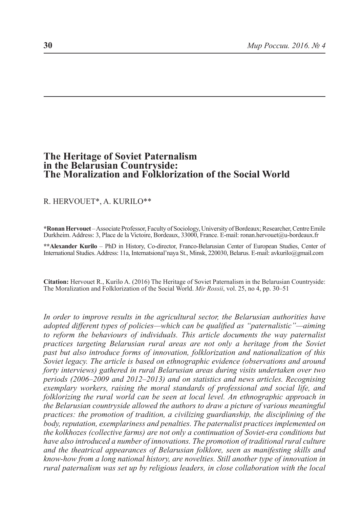# **The Heritage of Soviet Paternalism in the Belarusian Countryside: The Moralization and Folklorization of the Social World**

### R. HERVOUET\*, A. KURILO\*\*

**\*Ronan Hervouet** – Associate Professor, Faculty of Sociology, University of Bordeaux; Researcher, Centre Emile Durkheim. Address: 3, Place de la Victoire, Bordeaux, 33000, France. E-mail: ronan.hervouet@u-bordeaux.fr

**\*\*Alexander Kurilo** – PhD in History, Co-director, Franco-Belarusian Center of European Studies, Center of International Studies. Address: 11a, Internatsional'naya St., Minsk, 220030, Belarus. E-mail: avkurilo@gmail.com

**Citation:** Hervouet R., Kurilo A. (2016) The Heritage of Soviet Paternalism in the Belarusian Countryside: The Moralization and Folklorization of the Social World. *Mir Rossii*, vol. 25, no 4, pp. 30–51

*In order to improve results in the agricultural sector, the Belarusian authorities have adopted different types of policies—which can be qualified as "paternalistic"—aiming to reform the behaviours of individuals. This article documents the way paternalist practices targeting Belarusian rural areas are not only a heritage from the Soviet past but also introduce forms of innovation, folklorization and nationalization of this Soviet legacy. The article is based on ethnographic evidence (observations and around forty interviews) gathered in rural Belarusian areas during visits undertaken over two periods (2006*–*2009 and 2012*–*2013) and on statistics and news articles. Recognising exemplary workers, raising the moral standards of professional and social life, and folklorizing the rural world can be seen at local level. An ethnographic approach in the Belarusian countryside allowed the authors to draw a picture of various meaningful practices: the promotion of tradition, a civilizing guardianship, the disciplining of the body, reputation, exemplariness and penalties. The paternalist practices implemented on the kolkhozes (collective farms) are not only a continuation of Soviet-era conditions but have also introduced a number of innovations. The promotion of traditional rural culture and the theatrical appearances of Belarusian folklore, seen as manifesting skills and know-how from a long national history, are novelties. Still another type of innovation in rural paternalism was set up by religious leaders, in close collaboration with the local*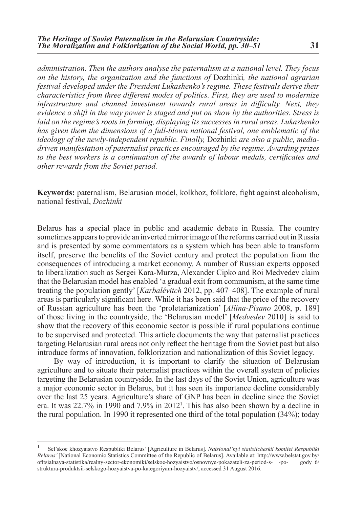*administration. Then the authors analyse the paternalism at a national level. They focus on the history, the organization and the functions of* Dozhinki*, the national agrarian festival developed under the President Lukashenko's regime. These festivals derive their characteristics from three different modes of politics. First, they are used to modernize infrastructure and channel investment towards rural areas in difficulty. Next, they evidence a shift in the way power is staged and put on show by the authorities. Stress is laid on the regime's roots in farming, displaying its successes in rural areas. Lukashenko has given them the dimensions of a full-blown national festival, one emblematic of the ideology of the newly-independent republic. Finally,* Dozhinki *are also a public, mediadriven manifestation of paternalist practices encouraged by the regime. Awarding prizes to the best workers is a continuation of the awards of labour medals, certificates and other rewards from the Soviet period.*

**Keywords:** paternalism, Belarusian model, kolkhoz, folklore, fight against alcoholism, national festival, *Dozhinki*

Belarus has a special place in public and academic debate in Russia. The country sometimes appears to provide an inverted mirror image of the reforms carried out in Russia and is presented by some commentators as a system which has been able to transform itself, preserve the benefits of the Soviet century and protect the population from the consequences of introducing a market economy. A number of Russian experts opposed to liberalization such as Sergei Kara-Murza, Alexander Cipko and Roi Medvedev claim that the Belarusian model has enabled 'a gradual exit from communism, at the same time treating the population gently' [*Karbalévitch* 2012, pp. 407–408]. The example of rural areas is particularly significant here. While it has been said that the price of the recovery of Russian agriculture has been the 'proletarianization' [*Allina-Pisano* 2008, p. 189] of those living in the countryside, the 'Belarusian model' [*Medvedev* 2010] is said to show that the recovery of this economic sector is possible if rural populations continue to be supervised and protected. This article documents the way that paternalist practices targeting Belarusian rural areas not only reflect the heritage from the Soviet past but also introduce forms of innovation, folklorization and nationalization of this Soviet legacy.

By way of introduction, it is important to clarify the situation of Belarusian agriculture and to situate their paternalist practices within the overall system of policies targeting the Belarusian countryside. In the last days of the Soviet Union, agriculture was a major economic sector in Belarus, but it has seen its importance decline considerably over the last 25 years. Agriculture's share of GNP has been in decline since the Soviet era. It was 22.7% in 1990 and 7.9% in 20121 . This has also been shown by a decline in the rural population. In 1990 it represented one third of the total population (34%); today

<sup>1</sup> Sel'skoe khozyaistvo Respubliki Belarus' [Agriculture in Belarus]. *Natsional'nyi statisticheskii komitet Respubliki Belarus'* [National Economic Statistics Committee of the Republic of Belarus]*.* Available at: http://www.belstat.gov.by/ ofitsialnaya-statistika/realny-sector-ekonomiki/selskoe-hozyaistvo/osnovnye-pokazateli-za-period-s-\_\_-po-\_\_\_\_gody\_6/ struktura-produktsii-selskogo-hozyaistva-po-kategoriyam-hozyaistv/, accessed 31 August 2016.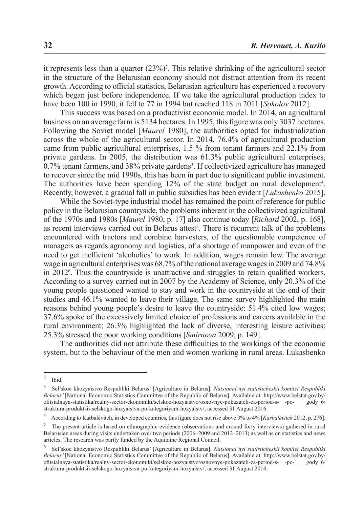it represents less than a quarter  $(23%)^2$ . This relative shrinking of the agricultural sector in the structure of the Belarusian economy should not distract attention from its recent growth. According to official statistics, Belarusian agriculture has experienced a recovery which began just before independence. If we take the agricultural production index to have been 100 in 1990, it fell to 77 in 1994 but reached 118 in 2011 [*Sokolov* 2012].

This success was based on a productivist economic model. In 2014, an agricultural business on an average farm is 5134 hectares. In 1995, this figure was only 3037 hectares. Following the Soviet model [*Maurel* 1980], the authorities opted for industrialization across the whole of the agricultural sector. In 2014, 76.4% of agricultural production came from public agricultural enterprises, 1.5 % from tenant farmers and 22.1% from private gardens. In 2005, the distribution was 61.3% public agricultural enterprises,  $0.7\%$  tenant farmers, and 38% private gardens<sup>3</sup>. If collectivized agriculture has managed to recover since the mid 1990s, this has been in part due to significant public investment. The authorities have been spending  $12\%$  of the state budget on rural development<sup>4</sup>. Recently, however, a gradual fall in public subsidies has been evident [*Lukashenko* 2015].

While the Soviet-type industrial model has remained the point of reference for public policy in the Belarusian countryside, the problems inherent in the collectivized agricultural of the 1970s and 1980s [*Maurel* 1980, p. 17] also continue today [*Richard* 2002, p. 168], as recent interviews carried out in Belarus attest<sup>5</sup>. There is recurrent talk of the problems encountered with tractors and combine harvesters, of the questionable competence of managers as regards agronomy and logistics, of a shortage of manpower and even of the need to get inefficient 'alcoholics' to work. In addition, wages remain low. The average wage in agricultural enterprises was 68,7% of the national average wages in 2009 and 74.8% in 20126 . Thus the countryside is unattractive and struggles to retain qualified workers. According to a survey carried out in 2007 by the Academy of Science, only 20.3% of the young people questioned wanted to stay and work in the countryside at the end of their studies and 46.1% wanted to leave their village. The same survey highlighted the main reasons behind young people's desire to leave the countryside: 51.4% cited low wages; 37.6% spoke of the excessively limited choice of professions and careers available in the rural environment; 26.3% highlighted the lack of diverse, interesting leisure activities; 25.3% stressed the poor working conditions [*Smirnova* 2009, p. 149].

The authorities did not attribute these difficulties to the workings of the economic system, but to the behaviour of the men and women working in rural areas. Lukashenko

<sup>&</sup>lt;sup>2</sup> Ibid.<br> $\frac{3}{2}$  Sol<sup>2</sup>

<sup>3</sup> Sel'skoe khozyaistvo Respubliki Belarus' [Agriculture in Belarus]. *Natsional'nyi statisticheskii komitet Respubliki Belarus'* [National Economic Statistics Committee of the Republic of Belarus]*.* Available at: http://www.belstat.gov.by/ ofitsialnaya-statistika/realny-sector-ekonomiki/selskoe-hozyaistvo/osnovnye-pokazateli-za-period-s-\_\_-po-\_\_\_\_gody\_6/ struktura-produktsii-selskogo-hozyaistva-po-kategoriyam-hozyaistv/, accessed 31 August 2016.

<sup>4</sup> According to Karbalévitch, in developed countries, this figure does not rise above 3% to 4% [*Karbalévitch* 2012, p. 276].

<sup>&</sup>lt;sup>5</sup> The present article is based on ethnographic evidence (observations and around forty interviews) gathered in rural Belarusian areas during visits undertaken over two periods (2006–2009 and 2012–2013) as well as on statistics and news articles. The research was partly funded by the Aquitaine Regional Council.

<sup>6</sup> Sel'skoe khozyaistvo Respubliki Belarus' [Agriculture in Belarus]. *Natsional'nyi statisticheskii komitet Respubliki Belarus'* [National Economic Statistics Committee of the Republic of Belarus]*.* Available at: http://www.belstat.gov.by/ ofitsialnaya-statistika/realny-sector-ekonomiki/selskoe-hozyaistvo/osnovnye-pokazateli-za-period-s-\_\_-po-\_\_\_\_gody\_6/ struktura-produktsii-selskogo-hozyaistva-po-kategoriyam-hozyaistv/, accessed 31 August 2016.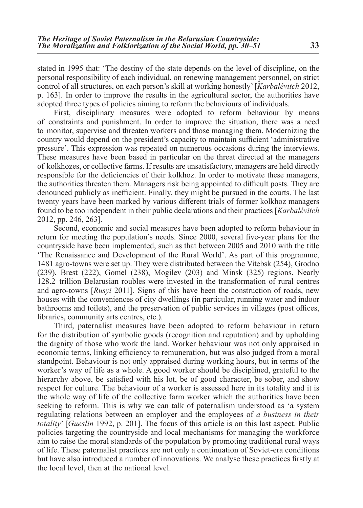stated in 1995 that: 'The destiny of the state depends on the level of discipline, on the personal responsibility of each individual, on renewing management personnel, on strict control of all structures, on each person's skill at working honestly' [*Karbalévitch* 2012, p. 163]. In order to improve the results in the agricultural sector, the authorities have adopted three types of policies aiming to reform the behaviours of individuals.

First, disciplinary measures were adopted to reform behaviour by means of constraints and punishment. In order to improve the situation, there was a need to monitor, supervise and threaten workers and those managing them. Modernizing the country would depend on the president's capacity to maintain sufficient 'administrative pressure'. This expression was repeated on numerous occasions during the interviews. These measures have been based in particular on the threat directed at the managers of kolkhozes, or collective farms. If results are unsatisfactory, managers are held directly responsible for the deficiencies of their kolkhoz. In order to motivate these managers, the authorities threaten them. Managers risk being appointed to difficult posts. They are denounced publicly as inefficient. Finally, they might be pursued in the courts. The last twenty years have been marked by various different trials of former kolkhoz managers found to be too independent in their public declarations and their practices [*Karbalévitch* 2012, pp. 246, 263].

Second, economic and social measures have been adopted to reform behaviour in return for meeting the population's needs. Since 2000, several five-year plans for the countryside have been implemented, such as that between 2005 and 2010 with the title 'The Renaissance and Development of the Rural World'. As part of this programme, 1481 agro-towns were set up. They were distributed between the Vitebsk (254), Grodno (239), Brest (222), Gomel (238), Mogilev (203) and Minsk (325) regions. Nearly 128.2 trillion Belarusian roubles were invested in the transformation of rural centres and agro-towns [*Rusyi* 2011]. Signs of this have been the construction of roads, new houses with the conveniences of city dwellings (in particular, running water and indoor bathrooms and toilets), and the preservation of public services in villages (post offices, libraries, community arts centres, etc.).

Third, paternalist measures have been adopted to reform behaviour in return for the distribution of symbolic goods (recognition and reputation) and by upholding the dignity of those who work the land. Worker behaviour was not only appraised in economic terms, linking efficiency to remuneration, but was also judged from a moral standpoint. Behaviour is not only appraised during working hours, but in terms of the worker's way of life as a whole. A good worker should be disciplined, grateful to the hierarchy above, be satisfied with his lot, be of good character, be sober, and show respect for culture. The behaviour of a worker is assessed here in its totality and it is the whole way of life of the collective farm worker which the authorities have been seeking to reform. This is why we can talk of paternalism understood as 'a system regulating relations between an employer and the employees of *a business in their totality*' [*Gueslin* 1992, p. 201]. The focus of this article is on this last aspect. Public policies targeting the countryside and local mechanisms for managing the workforce aim to raise the moral standards of the population by promoting traditional rural ways of life. These paternalist practices are not only a continuation of Soviet-era conditions but have also introduced a number of innovations. We analyse these practices firstly at the local level, then at the national level.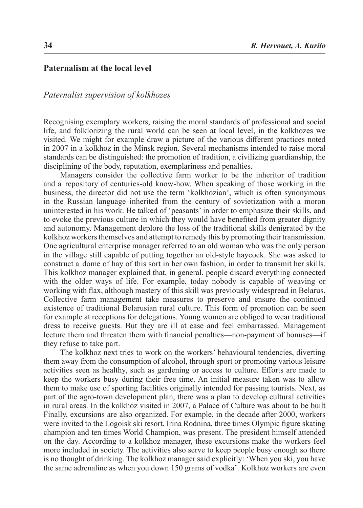## **Paternalism at the local level**

#### *Paternalist supervision of kolkhozes*

Recognising exemplary workers, raising the moral standards of professional and social life, and folklorizing the rural world can be seen at local level, in the kolkhozes we visited. We might for example draw a picture of the various different practices noted in 2007 in a kolkhoz in the Minsk region. Several mechanisms intended to raise moral standards can be distinguished: the promotion of tradition, a civilizing guardianship, the disciplining of the body, reputation, exemplariness and penalties.

Managers consider the collective farm worker to be the inheritor of tradition and a repository of centuries-old know-how. When speaking of those working in the business, the director did not use the term 'kolkhozian', which is often synonymous in the Russian language inherited from the century of sovietization with a moron uninterested in his work. He talked of 'peasants' in order to emphasize their skills, and to evoke the previous culture in which they would have benefited from greater dignity and autonomy. Management deplore the loss of the traditional skills denigrated by the kolkhoz workers themselves and attempt to remedy this by promoting their transmission. One agricultural enterprise manager referred to an old woman who was the only person in the village still capable of putting together an old-style haycock. She was asked to construct a dome of hay of this sort in her own fashion, in order to transmit her skills. This kolkhoz manager explained that, in general, people discard everything connected with the older ways of life. For example, today nobody is capable of weaving or working with flax, although mastery of this skill was previously widespread in Belarus. Collective farm management take measures to preserve and ensure the continued existence of traditional Belarusian rural culture. This form of promotion can be seen for example at receptions for delegations. Young women are obliged to wear traditional dress to receive guests. But they are ill at ease and feel embarrassed. Management lecture them and threaten them with financial penalties—non-payment of bonuses—if they refuse to take part.

The kolkhoz next tries to work on the workers' behavioural tendencies, diverting them away from the consumption of alcohol, through sport or promoting various leisure activities seen as healthy, such as gardening or access to culture. Efforts are made to keep the workers busy during their free time. An initial measure taken was to allow them to make use of sporting facilities originally intended for passing tourists. Next, as part of the agro-town development plan, there was a plan to develop cultural activities in rural areas. In the kolkhoz visited in 2007, a Palace of Culture was about to be built Finally, excursions are also organized. For example, in the decade after 2000, workers were invited to the Logoisk ski resort. Irina Rodnina, three times Olympic figure skating champion and ten times World Champion, was present. The president himself attended on the day. According to a kolkhoz manager, these excursions make the workers feel more included in society. The activities also serve to keep people busy enough so there is no thought of drinking. The kolkhoz manager said explicitly: 'When you ski, you have the same adrenaline as when you down 150 grams of vodka'. Kolkhoz workers are even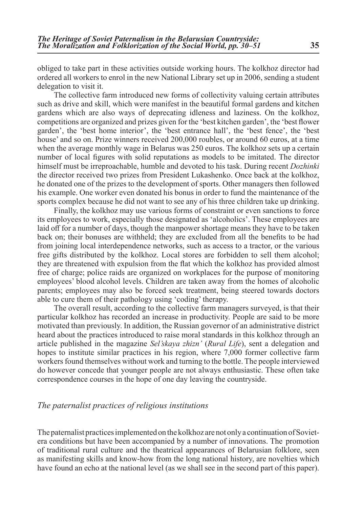obliged to take part in these activities outside working hours. The kolkhoz director had ordered all workers to enrol in the new National Library set up in 2006, sending a student delegation to visit it.

The collective farm introduced new forms of collectivity valuing certain attributes such as drive and skill, which were manifest in the beautiful formal gardens and kitchen gardens which are also ways of deprecating idleness and laziness. On the kolkhoz, competitions are organized and prizes given for the 'best kitchen garden', the 'best flower garden', the 'best home interior', the 'best entrance hall', the 'best fence', the 'best house' and so on. Prize winners received 200,000 roubles, or around 60 euros, at a time when the average monthly wage in Belarus was 250 euros. The kolkhoz sets up a certain number of local figures with solid reputations as models to be imitated. The director himself must be irreproachable, humble and devoted to his task. During recent *Dozhinki* the director received two prizes from President Lukashenko. Once back at the kolkhoz, he donated one of the prizes to the development of sports. Other managers then followed his example. One worker even donated his bonus in order to fund the maintenance of the sports complex because he did not want to see any of his three children take up drinking.

Finally, the kolkhoz may use various forms of constraint or even sanctions to force its employees to work, especially those designated as 'alcoholics'. These employees are laid off for a number of days, though the manpower shortage means they have to be taken back on; their bonuses are withheld; they are excluded from all the benefits to be had from joining local interdependence networks, such as access to a tractor, or the various free gifts distributed by the kolkhoz. Local stores are forbidden to sell them alcohol; they are threatened with expulsion from the flat which the kolkhoz has provided almost free of charge; police raids are organized on workplaces for the purpose of monitoring employees' blood alcohol levels. Children are taken away from the homes of alcoholic parents; employees may also be forced seek treatment, being steered towards doctors able to cure them of their pathology using 'coding' therapy.

The overall result, according to the collective farm managers surveyed, is that their particular kolkhoz has recorded an increase in productivity. People are said to be more motivated than previously. In addition, the Russian governor of an administrative district heard about the practices introduced to raise moral standards in this kolkhoz through an article published in the magazine *Sel'skaya zhizn'* (*Rural Life*), sent a delegation and hopes to institute similar practices in his region, where 7,000 former collective farm workers found themselves without work and turning to the bottle. The people interviewed do however concede that younger people are not always enthusiastic. These often take correspondence courses in the hope of one day leaving the countryside.

### *The paternalist practices of religious institutions*

The paternalist practices implemented on the kolkhoz are not only a continuation of Sovietera conditions but have been accompanied by a number of innovations. The promotion of traditional rural culture and the theatrical appearances of Belarusian folklore, seen as manifesting skills and know-how from the long national history, are novelties which have found an echo at the national level (as we shall see in the second part of this paper).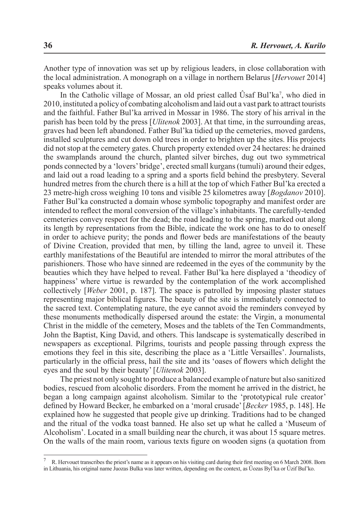Another type of innovation was set up by religious leaders, in close collaboration with the local administration. A monograph on a village in northern Belarus [*Hervouet* 2014] speaks volumes about it.

In the Catholic village of Mossar, an old priest called Usaf Bul'ka<sup>7</sup>, who died in 2010, instituted a policy of combating alcoholism and laid out a vast park to attract tourists and the faithful. Father Bul'ka arrived in Mossar in 1986. The story of his arrival in the parish has been told by the press [*Ulitenok* 2003]. At that time, in the surrounding areas, graves had been left abandoned. Father Bul'ka tidied up the cemeteries, moved gardens, installed sculptures and cut down old trees in order to brighten up the sites. His projects did not stop at the cemetery gates. Church property extended over 24 hectares: he drained the swamplands around the church, planted silver birches, dug out two symmetrical ponds connected by a 'lovers' bridge', erected small kurgans (tumuli) around their edges, and laid out a road leading to a spring and a sports field behind the presbytery. Several hundred metres from the church there is a hill at the top of which Father Bul'ka erected a 23 metre-high cross weighing 10 tons and visible 25 kilometres away [*Bogdanov* 2010]. Father Bul'ka constructed a domain whose symbolic topography and manifest order are intended to reflect the moral conversion of the village's inhabitants. The carefully-tended cemeteries convey respect for the dead; the road leading to the spring, marked out along its length by representations from the Bible, indicate the work one has to do to oneself in order to achieve purity; the ponds and flower beds are manifestations of the beauty of Divine Creation, provided that men, by tilling the land, agree to unveil it. These earthly manifestations of the Beautiful are intended to mirror the moral attributes of the parishioners. Those who have sinned are redeemed in the eyes of the community by the beauties which they have helped to reveal. Father Bul'ka here displayed a 'theodicy of happiness' where virtue is rewarded by the contemplation of the work accomplished collectively [*Weber* 2001, p. 187]. The space is patrolled by imposing plaster statues representing major biblical figures. The beauty of the site is immediately connected to the sacred text. Contemplating nature, the eye cannot avoid the reminders conveyed by these monuments methodically dispersed around the estate: the Virgin, a monumental Christ in the middle of the cemetery, Moses and the tablets of the Ten Commandments, John the Baptist, King David, and others. This landscape is systematically described in newspapers as exceptional. Pilgrims, tourists and people passing through express the emotions they feel in this site, describing the place as a 'Little Versailles'. Journalists, particularly in the official press, hail the site and its 'oases of flowers which delight the eyes and the soul by their beauty' [*Ulitenok* 2003].

The priest not only sought to produce a balanced example of nature but also sanitized bodies, rescued from alcoholic disorders. From the moment he arrived in the district, he began a long campaign against alcoholism. Similar to the 'prototypical rule creator' defined by Howard Becker, he embarked on a 'moral crusade' [*Becker* 1985, p. 148]. He explained how he suggested that people give up drinking. Traditions had to be changed and the ritual of the vodka toast banned. He also set up what he called a 'Museum of Alcoholism'. Located in a small building near the church, it was about 15 square metres. On the walls of the main room, various texts figure on wooden signs (a quotation from

<sup>7</sup> R. Hervouet transcribes the priest's name as it appears on his visiting card during their first meeting on 6 March 2008. Born in Lithuania, his original name Juozas Bulka was later written, depending on the context, as Ûozas Byl'ka or Ûzif Bul'ko.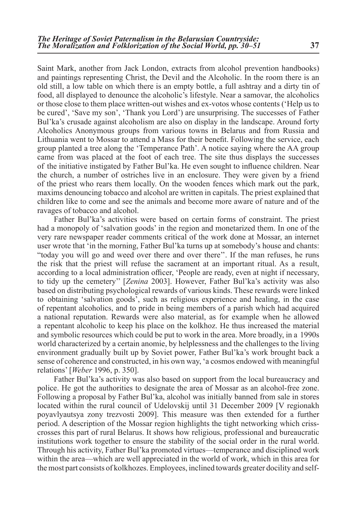Saint Mark, another from Jack London, extracts from alcohol prevention handbooks) and paintings representing Christ, the Devil and the Alcoholic. In the room there is an old still, a low table on which there is an empty bottle, a full ashtray and a dirty tin of food, all displayed to denounce the alcoholic's lifestyle. Near a samovar, the alcoholics or those close to them place written-out wishes and ex-votos whose contents ('Help us to be cured', 'Save my son', 'Thank you Lord') are unsurprising. The successes of Father Bul'ka's crusade against alcoholism are also on display in the landscape. Around forty Alcoholics Anonymous groups from various towns in Belarus and from Russia and Lithuania went to Mossar to attend a Mass for their benefit. Following the service, each group planted a tree along the 'Temperance Path'. A notice saying where the AA group came from was placed at the foot of each tree. The site thus displays the successes of the initiative instigated by Father Bul'ka. He even sought to influence children. Near the church, a number of ostriches live in an enclosure. They were given by a friend of the priest who rears them locally. On the wooden fences which mark out the park, maxims denouncing tobacco and alcohol are written in capitals. The priest explained that children like to come and see the animals and become more aware of nature and of the ravages of tobacco and alcohol.

Father Bul'ka's activities were based on certain forms of constraint. The priest had a monopoly of 'salvation goods' in the region and monetarized them. In one of the very rare newspaper reader comments critical of the work done at Mossar, an internet user wrote that 'in the morning, Father Bul'ka turns up at somebody's house and chants: "today you will go and weed over there and over there''. If the man refuses, he runs the risk that the priest will refuse the sacrament at an important ritual. As a result, according to a local administration officer, 'People are ready, even at night if necessary, to tidy up the cemetery'' [*Zenina* 2003]. However, Father Bul'ka's activity was also based on distributing psychological rewards of various kinds. These rewards were linked to obtaining 'salvation goods', such as religious experience and healing, in the case of repentant alcoholics, and to pride in being members of a parish which had acquired a national reputation. Rewards were also material, as for example when he allowed a repentant alcoholic to keep his place on the kolkhoz. He thus increased the material and symbolic resources which could be put to work in the area. More broadly, in a 1990s world characterized by a certain anomie, by helplessness and the challenges to the living environment gradually built up by Soviet power, Father Bul'ka's work brought back a sense of coherence and constructed, in his own way, 'a cosmos endowed with meaningful relations' [*Weber* 1996, p. 350].

Father Bul'ka's activity was also based on support from the local bureaucracy and police. He got the authorities to designate the area of Mossar as an alcohol-free zone. Following a proposal by Father Bul'ka, alcohol was initially banned from sale in stores located within the rural council of Udelovskij until 31 December 2009 [V regionakh poyavlyautsya zony trezvosti 2009]. This measure was then extended for a further period. A description of the Mossar region highlights the tight networking which crisscrosses this part of rural Belarus. It shows how religious, professional and bureaucratic institutions work together to ensure the stability of the social order in the rural world. Through his activity, Father Bul'ka promoted virtues—temperance and disciplined work within the area—which are well appreciated in the world of work, which in this area for the most part consists of kolkhozes. Employees, inclined towards greater docility and self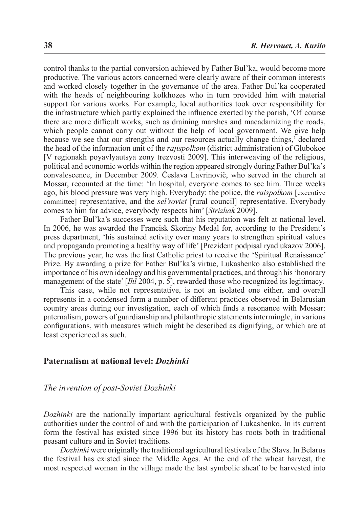control thanks to the partial conversion achieved by Father Bul'ka, would become more productive. The various actors concerned were clearly aware of their common interests and worked closely together in the governance of the area. Father Bul'ka cooperated with the heads of neighbouring kolkhozes who in turn provided him with material support for various works. For example, local authorities took over responsibility for the infrastructure which partly explained the influence exerted by the parish, 'Of course there are more difficult works, such as draining marshes and macadamizing the roads, which people cannot carry out without the help of local government. We give help because we see that our strengths and our resources actually change things,' declared the head of the information unit of the *rajispolkom* (district administration) of Glubokoe [V regionakh poyavlyautsya zony trezvosti 2009]. This interweaving of the religious, political and economic worlds within the region appeared strongly during Father Bul'ka's convalescence, in December 2009. Česlava Lavrinovič, who served in the church at Mossar, recounted at the time: 'In hospital, everyone comes to see him. Three weeks ago, his blood pressure was very high. Everybody: the police, the *raispolkom* [executive committee] representative, and the *sel'soviet* [rural council] representative. Everybody comes to him for advice, everybody respects him' [*Strizhak* 2009].

Father Bul'ka's successes were such that his reputation was felt at national level. In 2006, he was awarded the Francisk Skoriny Medal for, according to the President's press department, 'his sustained activity over many years to strengthen spiritual values and propaganda promoting a healthy way of life' [Prezident podpisal ryad ukazov 2006]. The previous year, he was the first Catholic priest to receive the 'Spiritual Renaissance' Prize. By awarding a prize for Father Bul'ka's virtue, Lukashenko also established the importance of his own ideology and his governmental practices, and through his 'honorary management of the state' [*Ihl* 2004, p. 5], rewarded those who recognized its legitimacy.

This case, while not representative, is not an isolated one either, and overall represents in a condensed form a number of different practices observed in Belarusian country areas during our investigation, each of which finds a resonance with Mossar: paternalism, powers of guardianship and philanthropic statements intermingle, in various configurations, with measures which might be described as dignifying, or which are at least experienced as such.

#### **Paternalism at national level:** *Dozhinki*

#### *The invention of post-Soviet Dozhinki*

*Dozhinki* are the nationally important agricultural festivals organized by the public authorities under the control of and with the participation of Lukashenko. In its current form the festival has existed since 1996 but its history has roots both in traditional peasant culture and in Soviet traditions.

*Dozhinki* were originally the traditional agricultural festivals of the Slavs. In Belarus the festival has existed since the Middle Ages. At the end of the wheat harvest, the most respected woman in the village made the last symbolic sheaf to be harvested into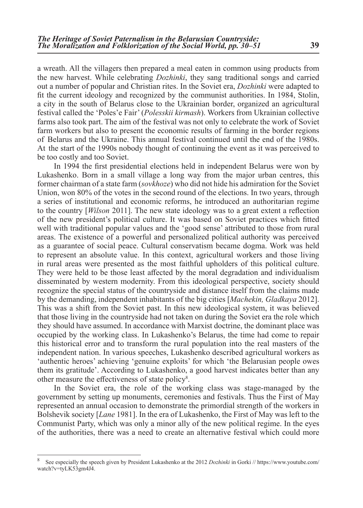a wreath. All the villagers then prepared a meal eaten in common using products from the new harvest. While celebrating *Dozhinki*, they sang traditional songs and carried out a number of popular and Christian rites. In the Soviet era, *Dozhinki* were adapted to fit the current ideology and recognized by the communist authorities. In 1984, Stolin, a city in the south of Belarus close to the Ukrainian border, organized an agricultural festival called the 'Poles'e Fair' (*Polesskii kirmash*). Workers from Ukrainian collective farms also took part. The aim of the festival was not only to celebrate the work of Soviet farm workers but also to present the economic results of farming in the border regions of Belarus and the Ukraine. This annual festival continued until the end of the 1980s. At the start of the 1990s nobody thought of continuing the event as it was perceived to be too costly and too Soviet.

In 1994 the first presidential elections held in independent Belarus were won by Lukashenko. Born in a small village a long way from the major urban centres, this former chairman of a state farm (*sovkhoze*) who did not hide his admiration for the Soviet Union, won 80% of the votes in the second round of the elections. In two years, through a series of institutional and economic reforms, he introduced an authoritarian regime to the country [*Wilson* 2011]. The new state ideology was to a great extent a reflection of the new president's political culture. It was based on Soviet practices which fitted well with traditional popular values and the 'good sense' attributed to those from rural areas. The existence of a powerful and personalized political authority was perceived as a guarantee of social peace. Cultural conservatism became dogma. Work was held to represent an absolute value. In this context, agricultural workers and those living in rural areas were presented as the most faithful upholders of this political culture. They were held to be those least affected by the moral degradation and individualism disseminated by western modernity. From this ideological perspective, society should recognize the special status of the countryside and distance itself from the claims made by the demanding, independent inhabitants of the big cities [*Machekin, Gladkaya* 2012]. This was a shift from the Soviet past. In this new ideological system, it was believed that those living in the countryside had not taken on during the Soviet era the role which they should have assumed. In accordance with Marxist doctrine, the dominant place was occupied by the working class. In Lukashenko's Belarus, the time had come to repair this historical error and to transform the rural population into the real masters of the independent nation. In various speeches, Lukashenko described agricultural workers as 'authentic heroes' achieving 'genuine exploits' for which 'the Belarusian people owes them its gratitude'. According to Lukashenko, a good harvest indicates better than any other measure the effectiveness of state policy<sup>8</sup>.

In the Soviet era, the role of the working class was stage-managed by the government by setting up monuments, ceremonies and festivals. Thus the First of May represented an annual occasion to demonstrate the primordial strength of the workers in Bolshevik society [*Lane* 1981]. In the era of Lukashenko, the First of May was left to the Communist Party, which was only a minor ally of the new political regime. In the eyes of the authorities, there was a need to create an alternative festival which could more

<sup>8</sup> See especially the speech given by President Lukashenko at the 2012 *Dozhinki* in Gorki // https://www.youtube.com/ watch?v=tyLK53gm4J4.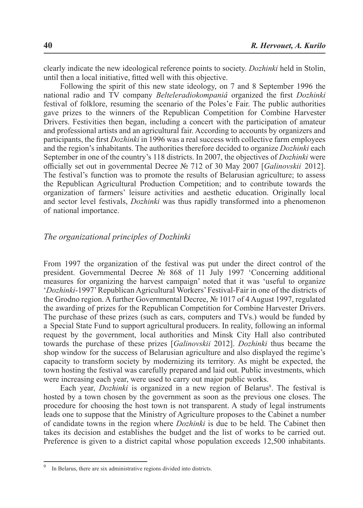clearly indicate the new ideological reference points to society. *Dozhinki* held in Stolin, until then a local initiative, fitted well with this objective.

Following the spirit of this new state ideology, on 7 and 8 September 1996 the national radio and TV company *Belteleradiokompaniâ* organized the first *Dozhinki* festival of folklore, resuming the scenario of the Poles'e Fair. The public authorities gave prizes to the winners of the Republican Competition for Combine Harvester Drivers. Festivities then began, including a concert with the participation of amateur and professional artists and an agricultural fair. According to accounts by organizers and participants, the first *Dozhinki* in 1996 was a real success with collective farm employees and the region's inhabitants. The authorities therefore decided to organize *Dozhinki* each September in one of the country's 118 districts. In 2007, the objectives of *Dozhinki* were officially set out in governmental Decree № 712 of 30 May 2007 [*Galinovskii* 2012]. The festival's function was to promote the results of Belarusian agriculture; to assess the Republican Agricultural Production Competition; and to contribute towards the organization of farmers' leisure activities and aesthetic education. Originally local and sector level festivals, *Dozhinki* was thus rapidly transformed into a phenomenon of national importance.

#### *The organizational principles of Dozhinki*

From 1997 the organization of the festival was put under the direct control of the president. Governmental Decree № 868 of 11 July 1997 'Concerning additional measures for organizing the harvest campaign' noted that it was 'useful to organize '*Dozhinki*-1997' Republican Agricultural Workers' Festival-Fair in one of the districts of the Grodno region. A further Governmental Decree, № 1017 of 4 August 1997, regulated the awarding of prizes for the Republican Competition for Combine Harvester Drivers. The purchase of these prizes (such as cars, computers and TVs.) would be funded by a Special State Fund to support agricultural producers. In reality, following an informal request by the government, local authorities and Minsk City Hall also contributed towards the purchase of these prizes [*Galinovskii* 2012]. *Dozhinki* thus became the shop window for the success of Belarusian agriculture and also displayed the regime's capacity to transform society by modernizing its territory. As might be expected, the town hosting the festival was carefully prepared and laid out. Public investments, which were increasing each year, were used to carry out major public works.

Each year, *Dozhinki* is organized in a new region of Belarus<sup>9</sup>. The festival is hosted by a town chosen by the government as soon as the previous one closes. The procedure for choosing the host town is not transparent. A study of legal instruments leads one to suppose that the Ministry of Agriculture proposes to the Cabinet a number of candidate towns in the region where *Dozhinki* is due to be held. The Cabinet then takes its decision and establishes the budget and the list of works to be carried out. Preference is given to a district capital whose population exceeds 12,500 inhabitants.

<sup>&</sup>lt;sup>9</sup> In Belarus, there are six administrative regions divided into districts.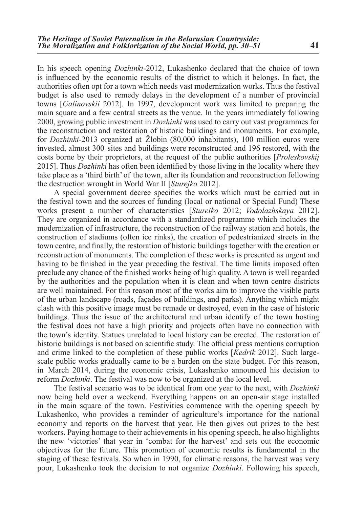In his speech opening *Dozhinki*-2012, Lukashenko declared that the choice of town is influenced by the economic results of the district to which it belongs. In fact, the authorities often opt for a town which needs vast modernization works. Thus the festival budget is also used to remedy delays in the development of a number of provincial towns [*Galinovskii* 2012]. In 1997, development work was limited to preparing the main square and a few central streets as the venue. In the years immediately following 2000, growing public investment in *Dozhinki* was used to carry out vast programmes for the reconstruction and restoration of historic buildings and monuments. For example, for *Dozhinki-*2013 organized at Žlobin (80,000 inhabitants), 100 million euros were invested, almost 300 sites and buildings were reconstructed and 196 restored, with the costs borne by their proprietors, at the request of the public authorities [*Proleskovskij* 2015]. Thus *Dozhinki* has often been identified by those living in the locality where they take place as a 'third birth' of the town, after its foundation and reconstruction following the destruction wrought in World War II [*Sturejko* 2012].

A special government decree specifies the works which must be carried out in the festival town and the sources of funding (local or national or Special Fund) These works present a number of characteristics [*Stureiko* 2012; *Vodolazhskaya* 2012]. They are organized in accordance with a standardized programme which includes the modernization of infrastructure, the reconstruction of the railway station and hotels, the construction of stadiums (often ice rinks), the creation of pedestrianized streets in the town centre, and finally, the restoration of historic buildings together with the creation or reconstruction of monuments. The completion of these works is presented as urgent and having to be finished in the year preceding the festival. The time limits imposed often preclude any chance of the finished works being of high quality. A town is well regarded by the authorities and the population when it is clean and when town centre districts are well maintained. For this reason most of the works aim to improve the visible parts of the urban landscape (roads, façades of buildings, and parks). Anything which might clash with this positive image must be remade or destroyed, even in the case of historic buildings. Thus the issue of the architectural and urban identify of the town hosting the festival does not have a high priority and projects often have no connection with the town's identity. Statues unrelated to local history can be erected. The restoration of historic buildings is not based on scientific study. The official press mentions corruption and crime linked to the completion of these public works [*Kedrik* 2012]. Such largescale public works gradually came to be a burden on the state budget. For this reason, in March 2014, during the economic crisis, Lukashenko announced his decision to reform *Dozhinki*. The festival was now to be organized at the local level.

The festival scenario was to be identical from one year to the next, with *Dozhinki* now being held over a weekend. Everything happens on an open-air stage installed in the main square of the town. Festivities commence with the opening speech by Lukashenko, who provides a reminder of agriculture's importance for the national economy and reports on the harvest that year. He then gives out prizes to the best workers. Paying homage to their achievements in his opening speech, he also highlights the new 'victories' that year in 'combat for the harvest' and sets out the economic objectives for the future. This promotion of economic results is fundamental in the staging of these festivals. So when in 1990, for climatic reasons, the harvest was very poor, Lukashenko took the decision to not organize *Dozhinki*. Following his speech,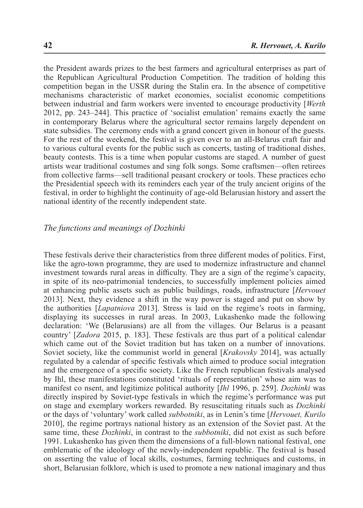the President awards prizes to the best farmers and agricultural enterprises as part of the Republican Agricultural Production Competition. The tradition of holding this competition began in the USSR during the Stalin era. In the absence of competitive mechanisms characteristic of market economies, socialist economic competitions between industrial and farm workers were invented to encourage productivity [*Werth* 2012, pp. 243–244]. This practice of 'socialist emulation' remains exactly the same in contemporary Belarus where the agricultural sector remains largely dependent on state subsidies. The ceremony ends with a grand concert given in honour of the guests. For the rest of the weekend, the festival is given over to an all-Belarus craft fair and to various cultural events for the public such as concerts, tasting of traditional dishes, beauty contests. This is a time when popular customs are staged. A number of guest artists wear traditional costumes and sing folk songs. Some craftsmen—often retirees from collective farms—sell traditional peasant crockery or tools. These practices echo the Presidential speech with its reminders each year of the truly ancient origins of the festival, in order to highlight the continuity of age-old Belarusian history and assert the national identity of the recently independent state.

#### *The functions and meanings of Dozhinki*

These festivals derive their characteristics from three different modes of politics. First, like the agro-town programme, they are used to modernize infrastructure and channel investment towards rural areas in difficulty. They are a sign of the regime's capacity, in spite of its neo-patrimonial tendencies, to successfully implement policies aimed at enhancing public assets such as public buildings, roads, infrastructure [*Hervouet* 2013]. Next, they evidence a shift in the way power is staged and put on show by the authorities [*Lapatniova* 2013]. Stress is laid on the regime's roots in farming, displaying its successes in rural areas. In 2003, Lukashenko made the following declaration: 'We (Belarusians) are all from the villages. Our Belarus is a peasant country' [*Zadora* 2015, p. 183]. These festivals are thus part of a political calendar which came out of the Soviet tradition but has taken on a number of innovations. Soviet society, like the communist world in general [*Krakovsky* 2014], was actually regulated by a calendar of specific festivals which aimed to produce social integration and the emergence of a specific society. Like the French republican festivals analysed by Ihl, these manifestations constituted 'rituals of representation' whose aim was to manifest co nsent, and legitimize political authority [*Ihl* 1996, p. 259]. *Dozhinki* was directly inspired by Soviet-type festivals in which the regime's performance was put on stage and exemplary workers rewarded. By resuscitating rituals such as *Dozhinki* or the days of 'voluntary' work called *subbotniki*, as in Lenin's time [*Hervouet, Kurilo* 2010], the regime portrays national history as an extension of the Soviet past. At the same time, these *Dozhinki*, in contrast to the *subbotniki*, did not exist as such before 1991. Lukashenko has given them the dimensions of a full-blown national festival, one emblematic of the ideology of the newly-independent republic. The festival is based on asserting the value of local skills, costumes, farming techniques and customs, in short, Belarusian folklore, which is used to promote a new national imaginary and thus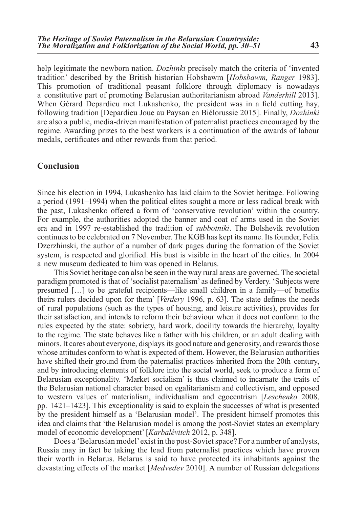help legitimate the newborn nation. *Dozhinki* precisely match the criteria of 'invented tradition' described by the British historian Hobsbawm [*Hobsbawm, Ranger* 1983]. This promotion of traditional peasant folklore through diplomacy is nowadays a constitutive part of promoting Belarusian authoritarianism abroad *Vanderhill* 2013]. When Gérard Depardieu met Lukashenko, the president was in a field cutting hay, following tradition [Depardieu Joue au Paysan en Biélorussie 2015]. Finally, *Dozhinki* are also a public, media-driven manifestation of paternalist practices encouraged by the regime. Awarding prizes to the best workers is a continuation of the awards of labour medals, certificates and other rewards from that period.

#### **Conclusion**

Since his election in 1994, Lukashenko has laid claim to the Soviet heritage. Following a period (1991–1994) when the political elites sought a more or less radical break with the past, Lukashenko offered a form of 'conservative revolution' within the country. For example, the authorities adopted the banner and coat of arms used in the Soviet era and in 1997 re-established the tradition of *subbotniki*. The Bolshevik revolution continues to be celebrated on 7 November. The KGB has kept its name. Its founder, Felix Dzerzhinski, the author of a number of dark pages during the formation of the Soviet system, is respected and glorified. His bust is visible in the heart of the cities. In 2004 a new museum dedicated to him was opened in Belarus.

This Soviet heritage can also be seen in the way rural areas are governed. The societal paradigm promoted is that of 'socialist paternalism' as defined by Verdery. 'Subjects were presumed […] to be grateful recipients—like small children in a family—of benefits theirs rulers decided upon for them' [*Verdery* 1996, p. 63]. The state defines the needs of rural populations (such as the types of housing, and leisure activities), provides for their satisfaction, and intends to reform their behaviour when it does not conform to the rules expected by the state: sobriety, hard work, docility towards the hierarchy, loyalty to the regime. The state behaves like a father with his children, or an adult dealing with minors. It cares about everyone, displays its good nature and generosity, and rewards those whose attitudes conform to what is expected of them. However, the Belarusian authorities have shifted their ground from the paternalist practices inherited from the 20th century, and by introducing elements of folklore into the social world, seek to produce a form of Belarusian exceptionality. 'Market socialism' is thus claimed to incarnate the traits of the Belarusian national character based on egalitarianism and collectivism, and opposed to western values of materialism, individualism and egocentrism [*Leschenko* 2008, pp. 1421–1423]. This exceptionality is said to explain the successes of what is presented by the president himself as a 'Belarusian model'. The president himself promotes this idea and claims that 'the Belarusian model is among the post-Soviet states an exemplary model of economic development'[*Karbalévitch* 2012, p. 348].

Does a 'Belarusian model' exist in the post-Soviet space? For a number of analysts, Russia may in fact be taking the lead from paternalist practices which have proven their worth in Belarus. Belarus is said to have protected its inhabitants against the devastating effects of the market [*Medvedev* 2010]. A number of Russian delegations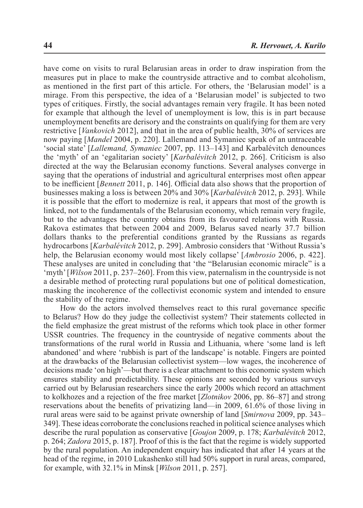have come on visits to rural Belarusian areas in order to draw inspiration from the measures put in place to make the countryside attractive and to combat alcoholism, as mentioned in the first part of this article. For others, the 'Belarusian model' is a mirage. From this perspective, the idea of a 'Belarusian model' is subjected to two types of critiques. Firstly, the social advantages remain very fragile. It has been noted for example that although the level of unemployment is low, this is in part because unemployment benefits are derisory and the constraints on qualifying for them are very restrictive [*Vankovich* 2012], and that in the area of public health, 30% of services are now paying [*Mandel* 2004, p. 220]. Lallemand and Symaniec speak of an untraceable 'social state' [*Lallemand, Symaniec* 2007, pp. 113–143] and Karbalévitch denounces the 'myth' of an 'egalitarian society' [*Karbalévitch* 2012, p. 266]. Criticism is also directed at the way the Belarusian economy functions. Several analyses converge in saying that the operations of industrial and agricultural enterprises most often appear to be inefficient [*Bennett* 2011, p. 146]. Official data also shows that the proportion of businesses making a loss is between 20% and 30% [*Karbalévitch* 2012, p. 293]. While it is possible that the effort to modernize is real, it appears that most of the growth is linked, not to the fundamentals of the Belarusian economy, which remain very fragile, but to the advantages the country obtains from its favoured relations with Russia. Rakova estimates that between 2004 and 2009, Belarus saved nearly 37.7 billion dollars thanks to the preferential conditions granted by the Russians as regards hydrocarbons [*Karbalévitch* 2012, p. 299]. Ambrosio considers that 'Without Russia's help, the Belarusian economy would most likely collapse' [*Ambrosio* 2006, p. 422]. These analyses are united in concluding that 'the "Belarusian economic miracle" is a 'myth' [*Wilson* 2011, p. 237–260]. From this view, paternalism in the countryside is not a desirable method of protecting rural populations but one of political domestication, masking the incoherence of the collectivist economic system and intended to ensure the stability of the regime.

How do the actors involved themselves react to this rural governance specific to Belarus? How do they judge the collectivist system? Their statements collected in the field emphasize the great mistrust of the reforms which took place in other former USSR countries. The frequency in the countryside of negative comments about the transformations of the rural world in Russia and Lithuania, where 'some land is left abandoned' and where 'rubbish is part of the landscape' is notable. Fingers are pointed at the drawbacks of the Belarusian collectivist system—low wages, the incoherence of decisions made 'on high'—but there is a clear attachment to this economic system which ensures stability and predictability. These opinions are seconded by various surveys carried out by Belarusian researchers since the early 2000s which record an attachment to kolkhozes and a rejection of the free market [*Zlotnikov* 2006, pp. 86–87] and strong reservations about the benefits of privatizing land—in 2009, 61.6% of those living in rural areas were said to be against private ownership of land [*Smirnova* 2009, pp. 343– 349]. These ideas corroborate the conclusions reached in political science analyses which describe the rural population as conservative [*Goujon* 2009, p. 178; *Karbalévitch* 2012, p. 264; *Zadora* 2015, p. 187]. Proof of this is the fact that the regime is widely supported by the rural population. An independent enquiry has indicated that after 14 years at the head of the regime, in 2010 Lukashenko still had 50% support in rural areas, compared, for example, with 32.1% in Minsk [*Wilson* 2011, p. 257].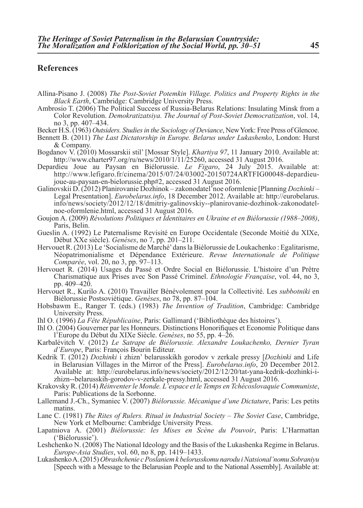### **References**

- Allina-Pisano J. (2008) *The Post-Soviet Potemkin Village. Politics and Property Rights in the Black Earth*, Cambridge: Cambridge University Press.
- Ambrosio T. (2006) The Political Success of Russia-Belarus Relations: Insulating Minsk from a Color Revolution. *Demokratizatsiya. The Journal of Post-Soviet Democratization*, vol. 14, no 3, pp. 407–434.
- Becker H.S. (1963) *Outsiders. Studies in the Sociology of Deviance*, New York: Free Press of Glencoe.
- Bennett B. (2011) *The Last Dictatorship in Europe. Belarus under Lukashenko*, London: Hurst & Company.
- Bogdanov V. (2010) Mossarskii stil' [Mossar Style]. *Khartiya 97*, 11 January 2010. Available at: http://www.charter97.org/ru/news/2010/1/11/25260, accessed 31 August 2016.
- Depardieu Joue au Paysan en Biélorussie. *Le Figaro*, 24 July 2015. Available at: http://www.lefigaro.fr/cinema/2015/07/24/03002-20150724ARTFIG00048-depardieujoue-au-paysan-en-bielorussie.php#2, accessed 31 August 2016.
- Galinovskii D. (2012) Planirovanie Dozhinok zakonodatel'noe oformlenie [Planning *Dozhinki* Legal Presentation]. *Eurobelarus.info*, 18 December 2012. Available at: http://eurobelarus. info/news/society/2012/12/18/dmitriy-galinovskiy--planirovanie-dozhinok-zakonodatelnoe-oformlenie.html, accessed 31 August 2016.
- Goujon A. (2009) *Révolutions Politiques et Identitaires en Ukraine et en Biélorussie (1988–2008)*, Paris, Belin.
- Gueslin A. (1992) Le Paternalisme Revisité en Europe Occidentale (Seconde Moitié du XIXe, Début XXe siècle). *Genèses*, no 7, pp. 201–211.
- Hervouet R. (2013) Le 'Socialisme de Marché' dans la Biélorussie de Loukachenko : Egalitarisme, Néopatrimonialisme et Dépendance Extérieure. *Revue Internationale de Politique Comparée*, vol. 20, no 3, pp. 97–113.
- Hervouet R. (2014) Usages du Passé et Ordre Social en Biélorussie. L'histoire d'un Prêtre Charismatique aux Prises avec Son Passé Criminel. *Ethnologie Française*, vol. 44, no 3, pp. 409–420.
- Hervouet R., Kurilo A. (2010) Travailler Bénévolement pour la Collectivité. Les *subbotniki* en Biélorussie Postsoviétique. *Genèses*, no 78, pp. 87–104.
- Hobsbawm E., Ranger T. (eds.) (1983) *The Invention of Tradition*, Cambridge: Cambridge University Press.
- Ihl O. (1996) *La Fête Républicaine*, Paris: Gallimard ('Bibliothèque des histoires').
- Ihl O. (2004) Gouverner par les Honneurs. Distinctions Honorifiques et Economie Politique dans l'Europe du Début du XIXe Siècle. *Genèses*, no 55, pp. 4–26.
- Karbalévitch V. (2012) *Le Satrape de Biélorussie. Alexandre Loukachenko, Dernier Tyran d'Europe*, Paris: François Bourin Editeur.
- Kedrik T. (2012) *Dozhinki* i zhizn' belarusskikh gorodov v zerkale pressy [*Dozhinki* and Life in Belarusian Villages in the Mirror of the Press]. *Eurobelarus.info*, 20 December 2012. Available at: http://eurobelarus.info/news/society/2012/12/20/tat-yana-kedrik-dozhinki-izhizn--belarusskih-gorodov-v-zerkale-pressy.html, accessed 31 August 2016.
- Krakovsky R. (2014) *Réinventer le Monde. L'espace et le Temps en Tchécoslovaquie Communiste*, Paris: Publications de la Sorbonne.
- Lallemand J.-Ch., Symaniec V. (2007) *Biélorussie. Mécanique d'une Dictature*, Paris: Les petits matins.
- Lane C. (1981) *The Rites of Rulers. Ritual in Industrial Society The Soviet Case*, Cambridge, New York et Melbourne: Cambridge University Press.
- Lapatniova A. (2001) *Biélorussie: les Mises en Scène du Pouvoir*, Paris: L'Harmattan ('Biélorussie').
- Leshchenko N. (2008) The National Ideology and the Basis of the Lukashenka Regime in Belarus. *Europe-Asia Studies*, vol. 60, no 8, pp. 1419–1433.
- Lukashenko A. (2015) *Obrashchenie c Poslaniem k belorusskomu narodu i Natsional'nomu Sobraniyu* [Speech with a Message to the Belarusian People and to the National Assembly]. Available at: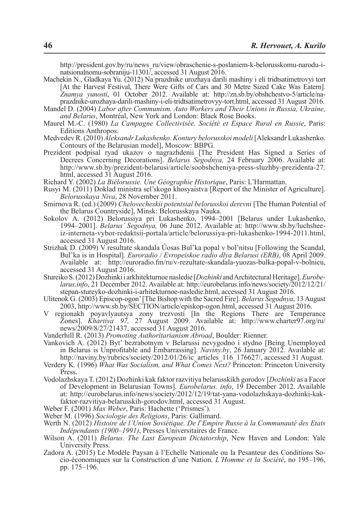http://president.gov.by/ru/news\_ru/view/obraschenie-s-poslaniem-k-belorusskomu-narodu-inatsionalnomu-sobraniju-11301/, accessed 31 August 2016.

Machekin N., Gladkaya Yu. (2012) Na prazdnike urozhaya darili mashiny i eli tridtsatimetrovyi tort [At the Harvest Festival, There Were Gifts of Cars and 30 Metre Sized Cake Was Eatern]. *Znamya yunosti*, 01 October 2012. Available at: http://zn.sb.by/obshchestvo-5/article/naprazdnike-urozhaya-darili-mashiny-i-eli-tridtsatimetrovyy-tort.html, accessed 31 August 2016.

- Mandel D. (2004) *Labor after Communism. Auto Workers and Their Unions in Russia, Ukraine, and Belarus*, Montréal, New York and London: Black Rose Books.
- Maurel M.-C. (1980) *La Campagne Collectivisée. Société et Espace Rural en Russie*, Paris: Editions Anthropos.
- Medvedev R. (2010) *Aleksandr Lukashenko. Kontury belorusskoi modeli* [Aleksandr Lukashenko. Contours of the Belarusian model], Moscow: BBPG.
- Prezident podpisal ryad ukazov o nagrazhdenii [The President Has Signed a Series of Decrees Concerning Decorations]. *Belarus Segodnya,* 24 February 2006. Available at: http://www.sb.by/prezident-belarusi/article/soobshcheniya-press-sluzhby-prezidenta-27. html, accessed 31 August 2016.
- Richard Y. (2002) *La Biélorussie. Une Géographie Historique*, Paris: L'Harmattan.
- Rusyi M. (2011) Doklad ministra sel'skogo khosyaistva [Report of the Minister of Agriculture]. *Belorusskaya Niva*, 28 November 2011.
- Smirnova R. (ed.) (2009) *Chelovecheskii potentsial belorusskoi derevni* [The Human Potential of the Belarus Countryside], Minsk: Belorusskaya Nauka.
- Sokolov А. (2012) Belorussiya pri Lukashenko, 1994–2001 [Belarus under Lukashenko, 1994–2001]. *Belarus' Segodnya,* 06 June 2012. Available at: http://www.sb.by/luchsheeiz-interneta-vybor-redaktsii-portala/article/belorussiya-pri-lukashenko-1994-2011.html,
- accessed 31 August 2016. Strizhak D. (2009) V resultate skandala Ûosas Bul'ka popal v bol'nitsu [Following the Scandal, Bul'ka is in Hospital]. *Euroradio / Evropeiskoe radio dlya Belarusi (ERB)*, 08 April 2009. Available at: http://euroradio.fm/ru/v-rezultate-skandala-yuozas-bulka-popal-v-bolnicu, accessed 31 August 2016.<br>Stureiko S. (2012) Dozhinki i arkhitekturnoe nasledie [*Dozhinki* and Architectural Heritage]. *Eurobe*-
- larus.info, 21 December 2012. Available at: http://eurobelarus.info/news/society/2012/12/21/ stepan-stureyko-dozhinki-i-arhitekturnoe-nasledie.html, accessed 31 August 2016.
- Ulitenok G. (2003) Episcop-ogon' [The Bishop with the Sacred Fire]. *Belarus Segodnya*, 13 August 2003, http://www.sb.by/SECTION/article/episkop-ogon.html, accessed 31 August 2016.
- V regionakh poyavlyautsya zony trezvosti [In the Regions There are Temperance Zones]. *Khartiya 97,* 27 August 2009. Available at: http://www.charter97.org/ru/ news/2009/8/27/21437, accessed 31 August 2016.
- Vanderhill R. (2013) *Promoting Authoritarianism Abroad*, Boulder: Rienner.
- Vankovich A. (2012) Byt' bezrabotnym v Belarussi nevygodno i stydno [Being Unemployed in Belarus is Unprofitable and Embarrassing]. *Naviny.by*, 26 January 2012. Available at: http://naviny.by/rubrics/society/2012/01/26/ic\_articles\_116\_176627/, accessed 31 August.
- Verdery K. (1996) *What Was Socialism, and What Comes Next?* Princeton: Princeton University Press.
- Vodolazhskaya T. (2012) Dozhinki kak faktor razvitiya belarusskikh gorodov [*Dozhinki* as a Facor of Development in Belarusian Towns]. *Eurobelarus. info*, 19 December 2012. Available at: http://eurobelarus.info/news/society/2012/12/19/tat-yana-vodolazhskaya-dozhinki-kakfaktor-razvitiya-belarusskih-gorodov.html, accessed 31 August.
- Weber F. (2001) *Max Weber*, Paris: Hachette ('Prismes').
- Weber M. (1996) *Sociologie des Religions*, Paris: Gallimard.
- Werth N. (2012) *Histoire de l'Union Soviétique. De l*'*Empire Russe à la Communauté des Etats Indépendants (1900–1991)*, Presses Universitaires de France.
- Wilson A. (2011) *Belarus. The Last European Dictatorship*, New Haven and London: Yale University Press.
- Zadora A. (2015) Le Modèle Paysan à l'Echelle Nationale ou la Pesanteur des Conditions Socio-économiques sur la Construction d'une Nation. *L'Homme et la Société*, no 195–196, pp. 175–196.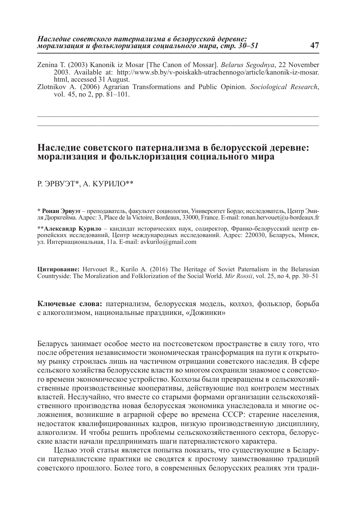- Zenina T. (2003) Kanonik iz Mosar [The Canon of Mossar]. *Belarus Segodnya*, 22 November 2003. Available at: http://www.sb.by/v-poiskakh-utrachennogo/article/kanonik-iz-mosar. html, accessed 31 August.
- Zlotnikov A. (2006) Agrarian Transformations and Public Opinion. *Sociological Research*, vol. 45, no 2, pp. 81–101.

\_\_\_\_\_\_\_\_\_\_\_\_\_\_\_\_\_\_\_\_\_\_\_\_\_\_\_\_\_\_\_\_\_\_\_\_\_\_\_\_\_\_\_\_\_\_\_\_\_\_\_\_\_\_\_\_\_\_\_\_\_\_\_\_\_\_\_\_\_\_\_\_\_\_\_\_\_ \_\_\_\_\_\_\_\_\_\_\_\_\_\_\_\_\_\_\_\_\_\_\_\_\_\_\_\_\_\_\_\_\_\_\_\_\_\_\_\_\_\_\_\_\_\_\_\_\_\_\_\_\_\_\_\_\_\_\_\_\_\_\_\_\_\_\_\_\_\_\_\_\_\_\_\_\_

## **Наследие советского патернализма в белорусской деревне: морализация и фольклоризация социального мира**

#### Р. ЭРВУЭТ\*, A. KУРИЛО\*\*

**\* Ронан Эрвуэт** – преподаватель, факультет социологии, Университет Бордо; исследователь, Центр Эми- ля Дюркгейма. Адрес: 3, Place de la Victoire, Bordeaux, 33000, France. E-mail: ronan.hervouet@u-bordeaux.fr

**\*\*Александр Kурило** – кандидат исторических наук, содиректор, Франко-белорусский центр европейских исследований, Центр международных исследований. Адрес: 220030, Беларусь, Минск, ул. Интернациональная, 11а. E-mail: avkurilo@gmail.com

**Цитирование:** Hervouet R., Kurilo A. (2016) The Heritage of Soviet Paternalism in the Belarusian Countryside: The Moralization and Folklorization of the Social World. *Mir Rossii*, vol. 25, no 4, pp. 30–51

**Ключевые слова:** патернализм, белорусская модель, колхоз, фольклор, борьба с алкоголизмом, национальные праздники, «Дожинки»

Беларусь занимает особое место на постсоветском пространстве в силу того, что после обретения независимости экономическая трансформация на пути к открытому рынку строилась лишь на частичном отрицании советского наследия. В сфере сельского хозяйства белорусские власти во многом сохранили знакомое с советского времени экономическое устройство. Колхозы были превращены в сельскохозяйственные производственные кооперативы, действующие под контролем местных властей. Неслучайно, что вместе со старыми формами организации сельскохозяйственного производства новая белорусская экономика унаследовала и многие осложнения, возникшие в аграрной сфере во времена СССР: старение населения, недостаток квалифицированных кадров, низкую производственную дисциплину, алкоголизм. И чтобы решить проблемы сельскохозяйственного сектора, белорусские власти начали предпринимать шаги патерналистского характера.

Целью этой статьи является попытка показать, что существующие в Беларуси патерналистские практики не сводятся к простому заимствованию традиций советского прошлого. Более того, в современных белорусских реалиях эти тради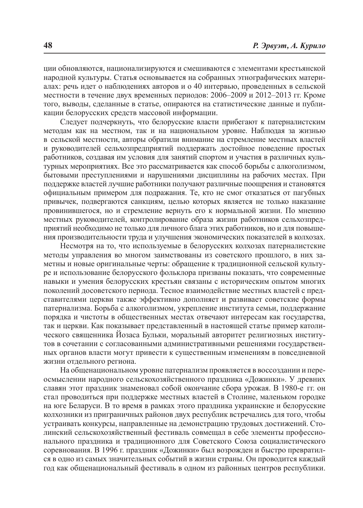ции обновляются, национализируются и смешиваются с элементами крестьянской народной культуры. Статья основывается на собранных этнографических материалах: речь идет о наблюдениях авторов и о 40 интервью, проведенных в сельской местности в течение двух временных периодов: 2006–2009 и 2012–2013 гг. Кроме того, выводы, сделанные в статье, опираются на статистические данные и публикации белорусских средств массовой информации.

Следует подчеркнуть, что белорусские власти прибегают к патерналистским методам как на местном, так и на национальном уровне. Наблюдая за жизнью в сельской местности, авторы обратили внимание на стремление местных властей и руководителей сельхозпредприятий поддержать достойное поведение простых работников, создавая им условия для занятий спортом и участия в различных культурных мероприятиях. Все это рассматривается как способ борьбы с алкоголизмом, бытовыми преступлениями и нарушениями дисциплины на рабочих местах. При поддержке властей лучшие работники получают различные поощрения и становятся официальным примером для подражания. Те, кто не смог отказаться от пагубных привычек, подвергаются санкциям, целью которых является не только наказание провинившегося, но и стремление вернуть его к нормальной жизни. По мнению местных руководителей, контролирование образа жизни работников сельхозпредприятий необходимо не только для личного блага этих работников, но и для повышения производительности труда и улучшения экономических показателей в колхозах.

Несмотря на то, что используемые в белорусских колхозах патерналистские методы управления во многом заимствованы из советского прошлого, в них заметны и новые оригинальные черты: обращение к традиционной сельской культуре и использование белорусского фольклора призваны показать, что современные навыки и умения белорусских крестьян связаны с историческим опытом многих поколений досоветского периода. Тесное взаимодействие местных властей с представителями церкви также эффективно дополняет и развивает советские формы патернализма. Борьба с алкоголизмом, укрепление института семьи, поддержание порядка и чистоты в общественных местах отвечают интересам как государства, так и церкви. Как показывает представленный в настоящей статье пример католического священника Йозаса Бульки, моральный авторитет религиозных институтов в сочетании с согласованными административными решениями государственных органов власти могут привести к существенным изменениям в повседневной жизни отдельного региона.

На общенациональном уровне патернализм проявляется в воссоздании и переосмыслении народного сельскохозяйственного праздника «Дожинки». У древних славян этот праздник знаменовал собой окончание сбора урожая. В 1980-е гг. он стал проводиться при поддержке местных властей в Столине, маленьком городке на юге Беларуси. В то время в рамках этого праздника украинские и белорусские колхозники из приграничных районов двух республик встречались для того, чтобы устраивать конкурсы, направленные на демонстрацию трудовых достижений. Столинский сельскохозяйственный фестиваль совмещал в себе элементы профессионального праздника и традиционного для Советского Союза социалистического соревнования. В 1996 г. праздник «Дожинки» был возрожден и быстро превратился в одно из самых значительных событий в жизни страны. Он проводится каждый год как общенациональный фестиваль в одном из районных центров республики.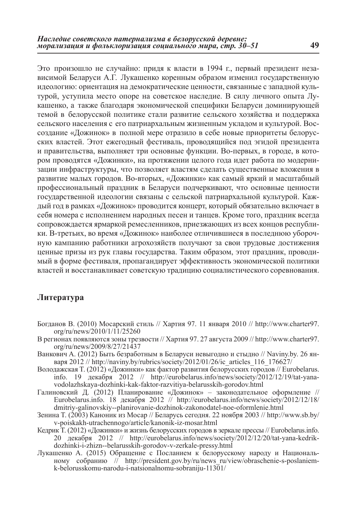Это произошло не случайно: придя к власти в 1994 г., первый президент независимой Беларуси А.Г. Лукашенко коренным образом изменил государственную идеологию: ориентация на демократические ценности, связанные с западной культурой, уступила место опоре на советское наследие. В силу личного опыта Лукашенко, а также благодаря экономической специфики Беларуси доминирующей темой в белорусской политике стали развитие сельского хозяйства и поддержка сельского населения с его патриархальным жизненным укладом и культурой. Воссоздание «Дожинок» в полной мере отразило в себе новые приоритеты белорусских властей. Этот ежегодный фестиваль, проводящийся под эгидой президента и правительства, выполняет три основные функции. Во-первых, в городе, в котором проводятся «Дожинки», на протяжении целого года идет работа по модернизации инфраструктуры, что позволяет властям сделать существенные вложения в развитие малых городов. Во-вторых, «Дожинки» как самый яркий и масштабный профессиональный праздник в Беларуси подчеркивают, что основные ценности государственной идеологии связаны с сельской патриархальной культурой. Каждый год в рамках «Дожинок» проводится концерт, который обязательно включает в себя номера с исполнением народных песен и танцев. Кроме того, праздник всегда сопровождается ярмаркой ремесленников, приезжающих из всех концов республики. В-третьих, во время «Дожинок» наиболее отличившиеся в последнюю уборочную кампанию работники агрохозяйств получают за свои трудовые достижения ценные призы из рук главы государства. Таким образом, этот праздник, проводимый в форме фестиваля, пропагандирует эффективность экономической политики властей и восстанавливает советскую традицию социалистического соревнования.

### **Литература**

- Богданов В. (2010) Мосарский стиль // Хартия 97. 11 января 2010 // http://www.charter97. org/ru/news/2010/1/11/25260
- В регионах появляются зоны трезвости // Хартия 97. 27 августа 2009 // http://www.charter97. org/ru/news/2009/8/27/21437
- Ванкович A. (2012) Быть безработным в Беларуси невыгодно и стыдно // Naviny.by. 26 января 2012 // http://naviny.by/rubrics/society/2012/01/26/ic\_articles\_116\_176627/
- Володажская T. (2012) «Дожинки» как фактор развития белорусских городов // Eurobelarus. info. 19 декабря 2012 // http://eurobelarus.info/news/society/2012/12/19/tat-yanavodolazhskaya-dozhinki-kak-faktor-razvitiya-belarusskih-gorodov.html
- Галиновский Д. (2012) Планирование «Дожинок» законодательное оформление // Eurobelarus.info. 18 декабря 2012 // http://eurobelarus.info/news/society/2012/12/18/ dmitriy-galinovskiy--planirovanie-dozhinok-zakonodatel-noe-oformlenie.html
- Зенина T. (2003) Каноник из Мосар // Беларусь сегодня. 22 ноября 2003 // http://www.sb.by/ v-poiskakh-utrachennogo/article/kanonik-iz-mosar.html
- Кедрик T. (2012) «Дожинки» и жизнь белорусских городов в зеркале прессы // Eurobelarus.info. 20 декабря 2012 // http://eurobelarus.info/news/society/2012/12/20/tat-yana-kedrikdozhinki-i-zhizn--belarusskih-gorodov-v-zerkale-pressy.html
- Лукашенко A. (2015) Обращение с Посланием к белорусскому народу и Национальному собранию // http://president.gov.by/ru/news\_ru/view/obraschenie-s-poslaniemk-belorusskomu-narodu-i-natsionalnomu-sobraniju-11301/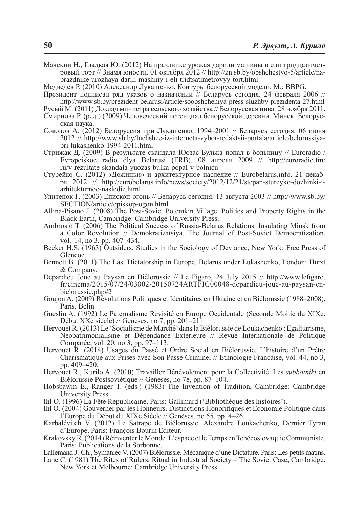- Мачекин Н., Гладкая Ю. (2012) На празднике урожая дарили машины и ели тридцатиметровый торт // Знамя юности. 01 октября 2012 // http://zn.sb.by/obshchestvo-5/article/naprazdnike-urozhaya-darili-mashiny-i-eli-tridtsatimetrovyy-tort.html
- Медведев Р. (2010) Александр Лукашенко. Контуры белорусской модели. M.: BBPG.
- Президент подписал ряд указов о назначении // Беларусь сегодня. 24 февраля 2006 // http://www.sb.by/prezident-belarusi/article/soobshcheniya-press-sluzhby-prezidenta-27.html
- Русый M. (2011) Доклад министра сельского хозяйства // Белорусская нива. 28 ноября 2011.
- Смирнова Р. (ред.) (2009) Человеческий потенциал белорусской деревни. Минск: Белорус- ская наука.
- Соколов А. (2012) Белоруссия при Лукашенко, 1994–2001 // Беларусь сегодня*.* 06 июня 2012 // http://www.sb.by/luchshee-iz-interneta-vybor-redaktsii-portala/article/belorussiyapri-lukashenko-1994-2011.html
- Стрижак Д. (2009) В результате скандала Юозас Булька попал в больницу // Euroradio / Evropeiskoe radio dlya Belarusi (ERB). 08 апреля 2009 // http://euroradio.fm/ ru/v-rezultate-skandala-yuozas-bulka-popal-v-bolnicu
- Стурейко С. (2012) «Дожинки» и архитектурное наследие // Eurobelarus.info. 21 декабря 2012 // http://eurobelarus.info/news/society/2012/12/21/stepan-stureyko-dozhinki-iarhitekturnoe-nasledie.html
- Улитенок Г. (2003) Епископ-огонь // Беларусь сегодня. 13 августа 2003 // http://www.sb.by/ SECTION/article/episkop-ogon.html
- Allina-Pisano J. (2008) The Post-Soviet Potemkin Village. Politics and Property Rights in the Black Earth, Cambridge: Cambridge University Press.
- Ambrosio T. (2006) The Political Success of Russia-Belarus Relations: Insulating Minsk from a Color Revolution // Demokratizatsiya. The Journal of Post-Soviet Democratization, vol. 14, no 3, pp. 407–434.
- Becker H.S. (1963) Outsiders. Studies in the Sociology of Deviance, New York: Free Press of Glencoe.
- Bennett B. (2011) The Last Dictatorship in Europe. Belarus under Lukashenko, London: Hurst & Company.
- Depardieu Joue au Paysan en Biélorussie // Le Figaro, 24 July 2015 // http://www.lefigaro. fr/cinema/2015/07/24/03002-20150724ARTFIG00048-depardieu-joue-au-paysan-enbielorussie.php#2
- Goujon A. (2009) Révolutions Politiques et Identitaires en Ukraine et en Biélorussie (1988–2008), Paris, Belin.
- Gueslin A. (1992) Le Paternalisme Revisité en Europe Occidentale (Seconde Moitié du XIXe, Début XXe siècle) // Genèses, no 7, pp. 201–211.
- Hervouet R. (2013) Le 'Socialisme de Marché' dans la Biélorussie de Loukachenko : Egalitarisme, Néopatrimonialisme et Dépendance Extérieure // Revue Internationale de Politique Comparée, vol. 20, no 3, pp. 97–113.
- Hervouet R. (2014) Usages du Passé et Ordre Social en Biélorussie. L'histoire d'un Prêtre Charismatique aux Prises avec Son Passé Criminel // Ethnologie Française, vol. 44, no 3, pp. 409–420.
- Hervouet R., Kurilo A. (2010) Travailler Bénévolement pour la Collectivité. Les *subbotniki* en Biélorussie Postsoviétique // Genèses, no 78, pp. 87–104.
- Hobsbawm E., Ranger T. (eds.) (1983) The Invention of Tradition, Cambridge: Cambridge University Press.
- Ihl O. (1996) La Fête Républicaine, Paris: Gallimard ('Bibliothèque des histoires').
- Ihl O. (2004) Gouverner par les Honneurs. Distinctions Honorifiques et Economie Politique dans l'Europe du Début du XIXe Siècle // Genèses, no 55, pp. 4–26.
- Karbalévitch V. (2012) Le Satrape de Biélorussie. Alexandre Loukachenko, Dernier Tyran d'Europe, Paris: François Bourin Editeur.
- Krakovsky R. (2014) Réinventerle Monde. L'espace et le Temps en Tchécoslovaquie Communiste, Paris: Publications de la Sorbonne.
- Lallemand J.-Ch., Symaniec V. (2007) Biélorussie. Mécanique d'une Dictature, Paris: Les petits matins.
- Lane C. (1981) The Rites of Rulers. Ritual in Industrial Society The Soviet Case, Cambridge, New York et Melbourne: Cambridge University Press.